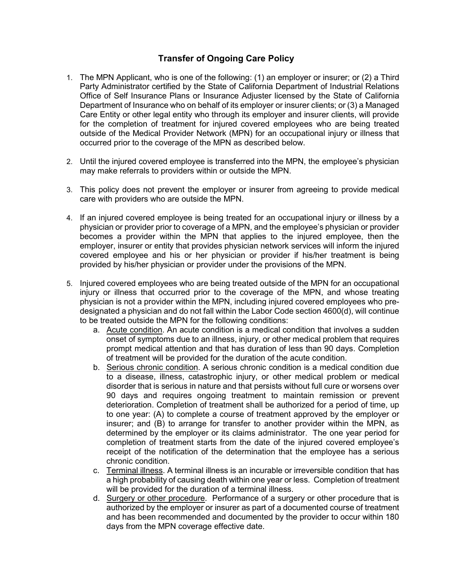## Transfer of Ongoing Care Policy

- 1. The MPN Applicant, who is one of the following: (1) an employer or insurer; or (2) a Third Party Administrator certified by the State of California Department of Industrial Relations Office of Self Insurance Plans or Insurance Adjuster licensed by the State of California Department of Insurance who on behalf of its employer or insurer clients; or (3) a Managed Care Entity or other legal entity who through its employer and insurer clients, will provide for the completion of treatment for injured covered employees who are being treated outside of the Medical Provider Network (MPN) for an occupational injury or illness that occurred prior to the coverage of the MPN as described below.
- 2. Until the injured covered employee is transferred into the MPN, the employee's physician may make referrals to providers within or outside the MPN.
- 3. This policy does not prevent the employer or insurer from agreeing to provide medical care with providers who are outside the MPN.
- 4. If an injured covered employee is being treated for an occupational injury or illness by a physician or provider prior to coverage of a MPN, and the employee's physician or provider becomes a provider within the MPN that applies to the injured employee, then the employer, insurer or entity that provides physician network services will inform the injured covered employee and his or her physician or provider if his/her treatment is being provided by his/her physician or provider under the provisions of the MPN.
- 5. Injured covered employees who are being treated outside of the MPN for an occupational injury or illness that occurred prior to the coverage of the MPN, and whose treating physician is not a provider within the MPN, including injured covered employees who predesignated a physician and do not fall within the Labor Code section 4600(d), will continue to be treated outside the MPN for the following conditions:
	- a. Acute condition. An acute condition is a medical condition that involves a sudden onset of symptoms due to an illness, injury, or other medical problem that requires prompt medical attention and that has duration of less than 90 days. Completion of treatment will be provided for the duration of the acute condition.
	- b. Serious chronic condition. A serious chronic condition is a medical condition due to a disease, illness, catastrophic injury, or other medical problem or medical disorder that is serious in nature and that persists without full cure or worsens over 90 days and requires ongoing treatment to maintain remission or prevent deterioration. Completion of treatment shall be authorized for a period of time, up to one year: (A) to complete a course of treatment approved by the employer or insurer; and (B) to arrange for transfer to another provider within the MPN, as determined by the employer or its claims administrator. The one year period for completion of treatment starts from the date of the injured covered employee's receipt of the notification of the determination that the employee has a serious chronic condition.
	- c. Terminal illness. A terminal illness is an incurable or irreversible condition that has a high probability of causing death within one year or less. Completion of treatment will be provided for the duration of a terminal illness.
	- d. Surgery or other procedure. Performance of a surgery or other procedure that is authorized by the employer or insurer as part of a documented course of treatment and has been recommended and documented by the provider to occur within 180 days from the MPN coverage effective date.